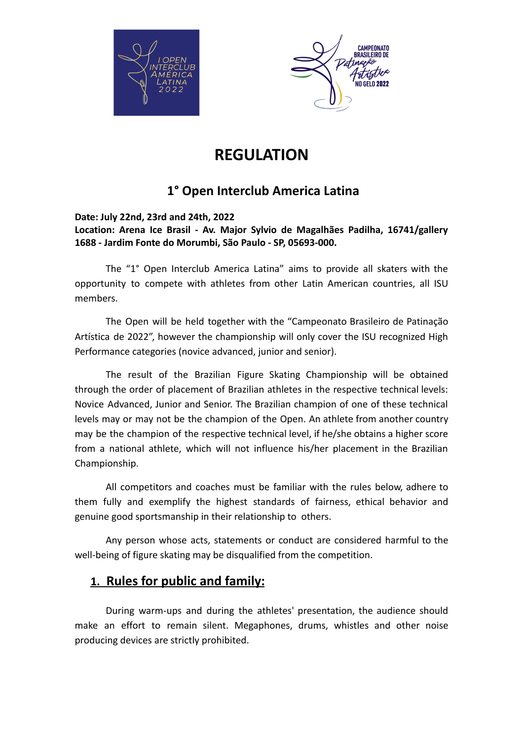



# **REGULATION**

# **1° Open Interclub America Latina**

#### **Date: July 22nd, 23rd and 24th, 2022 Location: Arena Ice Brasil - Av. Major Sylvio de Magalhães Padilha, 16741/gallery 1688 - Jardim Fonte do Morumbi, São Paulo - SP, 05693-000.**

The "1° Open Interclub America Latina" aims to provide all skaters with the opportunity to compete with athletes from other Latin American countries, all ISU members.

The Open will be held together with the "Campeonato Brasileiro de Patinação Artística de 2022", however the championship will only cover the ISU recognized High Performance categories (novice advanced, junior and senior).

The result of the Brazilian Figure Skating Championship will be obtained through the order of placement of Brazilian athletes in the respective technical levels: Novice Advanced, Junior and Senior. The Brazilian champion of one of these technical levels may or may not be the champion of the Open. An athlete from another country may be the champion of the respective technical level, if he/she obtains a higher score from a national athlete, which will not influence his/her placement in the Brazilian Championship.

All competitors and coaches must be familiar with the rules below, adhere to them fully and exemplify the highest standards of fairness, ethical behavior and genuine good sportsmanship in their relationship to others.

Any person whose acts, statements or conduct are considered harmful to the well-being of figure skating may be disqualified from the competition.

# **1. Rules for public and family:**

During warm-ups and during the athletes' presentation, the audience should make an effort to remain silent. Megaphones, drums, whistles and other noise producing devices are strictly prohibited.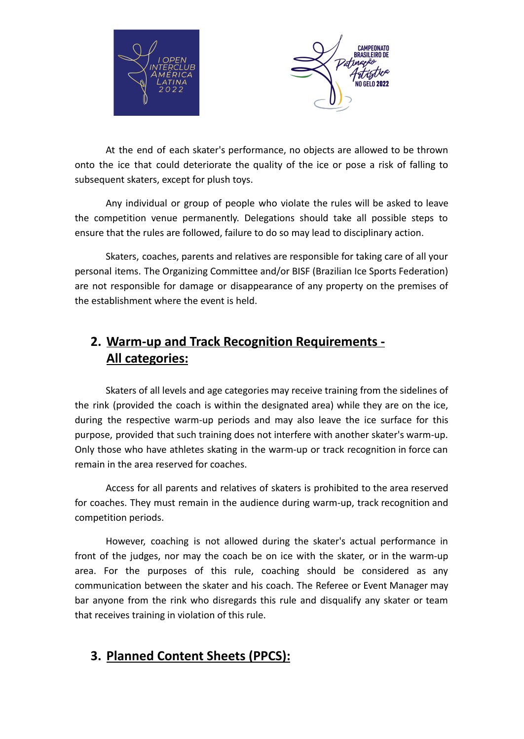



At the end of each skater's performance, no objects are allowed to be thrown onto the ice that could deteriorate the quality of the ice or pose a risk of falling to subsequent skaters, except for plush toys.

Any individual or group of people who violate the rules will be asked to leave the competition venue permanently. Delegations should take all possible steps to ensure that the rules are followed, failure to do so may lead to disciplinary action.

Skaters, coaches, parents and relatives are responsible for taking care of all your personal items. The Organizing Committee and/or BISF (Brazilian Ice Sports Federation) are not responsible for damage or disappearance of any property on the premises of the establishment where the event is held.

# **2. Warm-up and Track Recognition Requirements - All categories:**

Skaters of all levels and age categories may receive training from the sidelines of the rink (provided the coach is within the designated area) while they are on the ice, during the respective warm-up periods and may also leave the ice surface for this purpose, provided that such training does not interfere with another skater's warm-up. Only those who have athletes skating in the warm-up or track recognition in force can remain in the area reserved for coaches.

Access for all parents and relatives of skaters is prohibited to the area reserved for coaches. They must remain in the audience during warm-up, track recognition and competition periods.

However, coaching is not allowed during the skater's actual performance in front of the judges, nor may the coach be on ice with the skater, or in the warm-up area. For the purposes of this rule, coaching should be considered as any communication between the skater and his coach. The Referee or Event Manager may bar anyone from the rink who disregards this rule and disqualify any skater or team that receives training in violation of this rule.

# **3. Planned Content Sheets (PPCS):**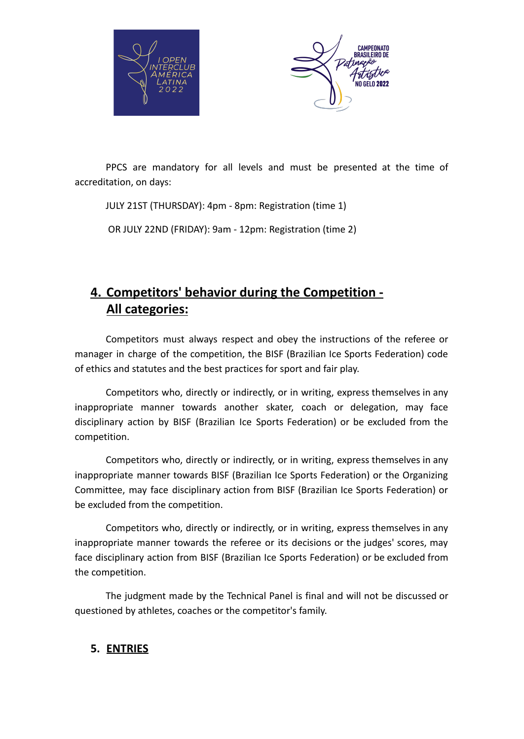



PPCS are mandatory for all levels and must be presented at the time of accreditation, on days:

JULY 21ST (THURSDAY): 4pm - 8pm: Registration (time 1)

OR JULY 22ND (FRIDAY): 9am - 12pm: Registration (time 2)

# **4. Competitors' behavior during the Competition - All categories:**

Competitors must always respect and obey the instructions of the referee or manager in charge of the competition, the BISF (Brazilian Ice Sports Federation) code of ethics and statutes and the best practices for sport and fair play.

Competitors who, directly or indirectly, or in writing, express themselves in any inappropriate manner towards another skater, coach or delegation, may face disciplinary action by BISF (Brazilian Ice Sports Federation) or be excluded from the competition.

Competitors who, directly or indirectly, or in writing, express themselves in any inappropriate manner towards BISF (Brazilian Ice Sports Federation) or the Organizing Committee, may face disciplinary action from BISF (Brazilian Ice Sports Federation) or be excluded from the competition.

Competitors who, directly or indirectly, or in writing, express themselves in any inappropriate manner towards the referee or its decisions or the judges' scores, may face disciplinary action from BISF (Brazilian Ice Sports Federation) or be excluded from the competition.

The judgment made by the Technical Panel is final and will not be discussed or questioned by athletes, coaches or the competitor's family.

# **5. ENTRIES**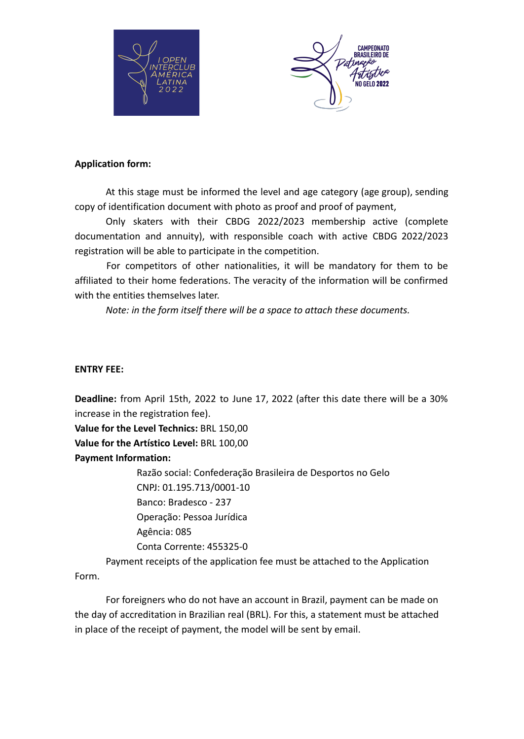



#### **Application form:**

At this stage must be informed the level and age category (age group), sending copy of identification document with photo as proof and proof of payment,

Only skaters with their CBDG 2022/2023 membership active (complete documentation and annuity), with responsible coach with active CBDG 2022/2023 registration will be able to participate in the competition.

For competitors of other nationalities, it will be mandatory for them to be affiliated to their home federations. The veracity of the information will be confirmed with the entities themselves later.

*Note: in the form itself there will be a space to attach these documents.*

#### **ENTRY FEE:**

**Deadline:** from April 15th, 2022 to June 17, 2022 (after this date there will be a 30% increase in the registration fee).

**Value for the Level Technics:** BRL 150,00

**Value for the Artístico Level:** BRL 100,00

### **Payment Information:**

Razão social: Confederação Brasileira de Desportos no Gelo CNPJ: 01.195.713/0001-10 Banco: Bradesco - 237 Operação: Pessoa Jurídica Agência: 085 Conta Corrente: 455325-0

Payment receipts of the application fee must be attached to the Application Form.

For foreigners who do not have an account in Brazil, payment can be made on the day of accreditation in Brazilian real (BRL). For this, a statement must be attached in place of the receipt of payment, the model will be sent by email.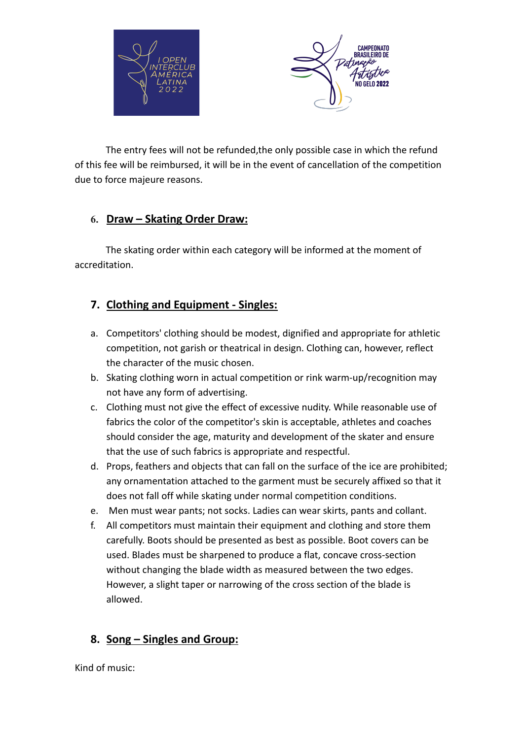



The entry fees will not be refunded,the only possible case in which the refund of this fee will be reimbursed, it will be in the event of cancellation of the competition due to force majeure reasons.

## **6. Draw – Skating Order Draw:**

The skating order within each category will be informed at the moment of accreditation.

# **7. Clothing and Equipment - Singles:**

- a. Competitors' clothing should be modest, dignified and appropriate for athletic competition, not garish or theatrical in design. Clothing can, however, reflect the character of the music chosen.
- b. Skating clothing worn in actual competition or rink warm-up/recognition may not have any form of advertising.
- c. Clothing must not give the effect of excessive nudity. While reasonable use of fabrics the color of the competitor's skin is acceptable, athletes and coaches should consider the age, maturity and development of the skater and ensure that the use of such fabrics is appropriate and respectful.
- d. Props, feathers and objects that can fall on the surface of the ice are prohibited; any ornamentation attached to the garment must be securely affixed so that it does not fall off while skating under normal competition conditions.
- e. Men must wear pants; not socks. Ladies can wear skirts, pants and collant.
- f. All competitors must maintain their equipment and clothing and store them carefully. Boots should be presented as best as possible. Boot covers can be used. Blades must be sharpened to produce a flat, concave cross-section without changing the blade width as measured between the two edges. However, a slight taper or narrowing of the cross section of the blade is allowed.

## **8. Song – Singles and Group:**

Kind of music: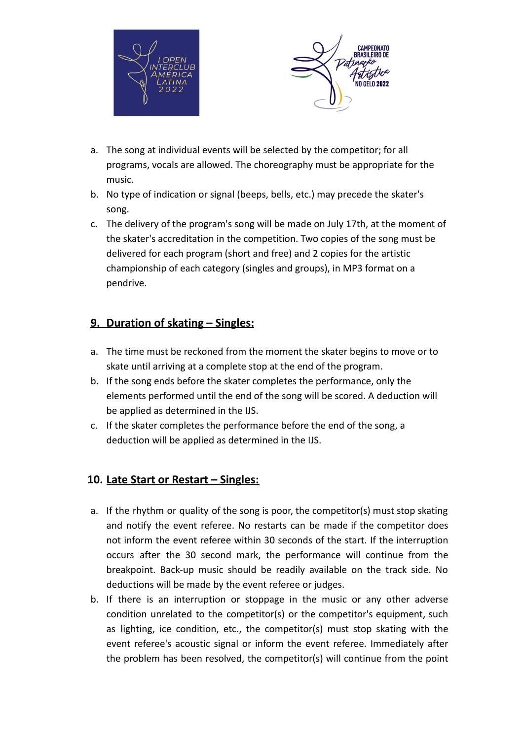



- a. The song at individual events will be selected by the competitor; for all programs, vocals are allowed. The choreography must be appropriate for the music.
- b. No type of indication or signal (beeps, bells, etc.) may precede the skater's song.
- c. The delivery of the program's song will be made on July 17th, at the moment of the skater's accreditation in the competition. Two copies of the song must be delivered for each program (short and free) and 2 copies for the artistic championship of each category (singles and groups), in MP3 format on a pendrive.

# **9. Duration of skating – Singles:**

- a. The time must be reckoned from the moment the skater begins to move or to skate until arriving at a complete stop at the end of the program.
- b. If the song ends before the skater completes the performance, only the elements performed until the end of the song will be scored. A deduction will be applied as determined in the IJS.
- c. If the skater completes the performance before the end of the song, a deduction will be applied as determined in the IJS.

## **10. Late Start or Restart – Singles:**

- a. If the rhythm or quality of the song is poor, the competitor(s) must stop skating and notify the event referee. No restarts can be made if the competitor does not inform the event referee within 30 seconds of the start. If the interruption occurs after the 30 second mark, the performance will continue from the breakpoint. Back-up music should be readily available on the track side. No deductions will be made by the event referee or judges.
- b. If there is an interruption or stoppage in the music or any other adverse condition unrelated to the competitor(s) or the competitor's equipment, such as lighting, ice condition, etc., the competitor(s) must stop skating with the event referee's acoustic signal or inform the event referee. Immediately after the problem has been resolved, the competitor(s) will continue from the point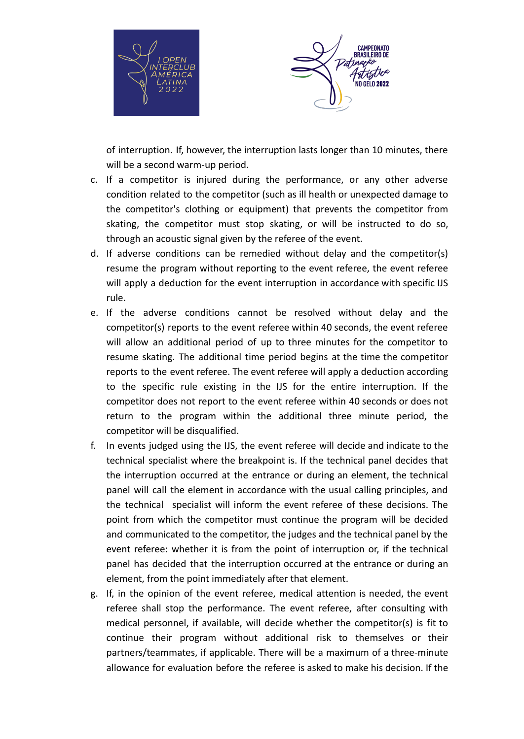



of interruption. If, however, the interruption lasts longer than 10 minutes, there will be a second warm-up period.

- c. If a competitor is injured during the performance, or any other adverse condition related to the competitor (such as ill health or unexpected damage to the competitor's clothing or equipment) that prevents the competitor from skating, the competitor must stop skating, or will be instructed to do so, through an acoustic signal given by the referee of the event.
- d. If adverse conditions can be remedied without delay and the competitor(s) resume the program without reporting to the event referee, the event referee will apply a deduction for the event interruption in accordance with specific IJS rule.
- e. If the adverse conditions cannot be resolved without delay and the competitor(s) reports to the event referee within 40 seconds, the event referee will allow an additional period of up to three minutes for the competitor to resume skating. The additional time period begins at the time the competitor reports to the event referee. The event referee will apply a deduction according to the specific rule existing in the IJS for the entire interruption. If the competitor does not report to the event referee within 40 seconds or does not return to the program within the additional three minute period, the competitor will be disqualified.
- f. In events judged using the IJS, the event referee will decide and indicate to the technical specialist where the breakpoint is. If the technical panel decides that the interruption occurred at the entrance or during an element, the technical panel will call the element in accordance with the usual calling principles, and the technical specialist will inform the event referee of these decisions. The point from which the competitor must continue the program will be decided and communicated to the competitor, the judges and the technical panel by the event referee: whether it is from the point of interruption or, if the technical panel has decided that the interruption occurred at the entrance or during an element, from the point immediately after that element.
- g. If, in the opinion of the event referee, medical attention is needed, the event referee shall stop the performance. The event referee, after consulting with medical personnel, if available, will decide whether the competitor(s) is fit to continue their program without additional risk to themselves or their partners/teammates, if applicable. There will be a maximum of a three-minute allowance for evaluation before the referee is asked to make his decision. If the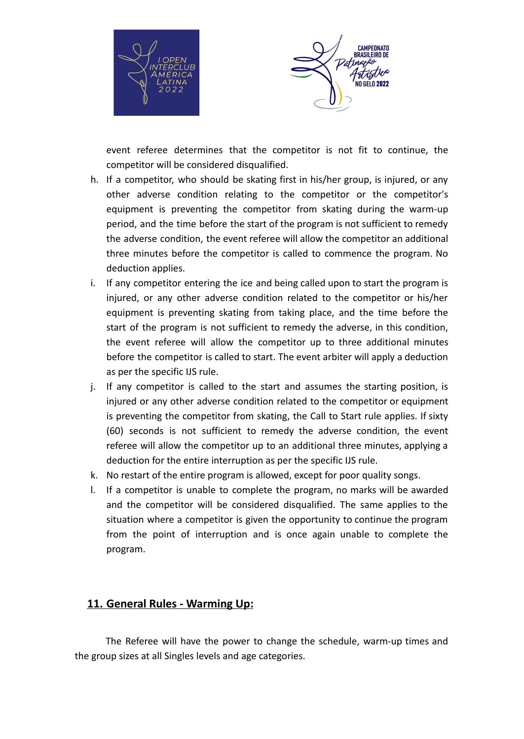



event referee determines that the competitor is not fit to continue, the competitor will be considered disqualified.

- h. If a competitor, who should be skating first in his/her group, is injured, or any other adverse condition relating to the competitor or the competitor's equipment is preventing the competitor from skating during the warm-up period, and the time before the start of the program is not sufficient to remedy the adverse condition, the event referee will allow the competitor an additional three minutes before the competitor is called to commence the program. No deduction applies.
- i. If any competitor entering the ice and being called upon to start the program is injured, or any other adverse condition related to the competitor or his/her equipment is preventing skating from taking place, and the time before the start of the program is not sufficient to remedy the adverse, in this condition, the event referee will allow the competitor up to three additional minutes before the competitor is called to start. The event arbiter will apply a deduction as per the specific IJS rule.
- j. If any competitor is called to the start and assumes the starting position, is injured or any other adverse condition related to the competitor or equipment is preventing the competitor from skating, the Call to Start rule applies. If sixty (60) seconds is not sufficient to remedy the adverse condition, the event referee will allow the competitor up to an additional three minutes, applying a deduction for the entire interruption as per the specific IJS rule.
- k. No restart of the entire program is allowed, except for poor quality songs.
- l. If a competitor is unable to complete the program, no marks will be awarded and the competitor will be considered disqualified. The same applies to the situation where a competitor is given the opportunity to continue the program from the point of interruption and is once again unable to complete the program.

## **11. General Rules - Warming Up:**

The Referee will have the power to change the schedule, warm-up times and the group sizes at all Singles levels and age categories.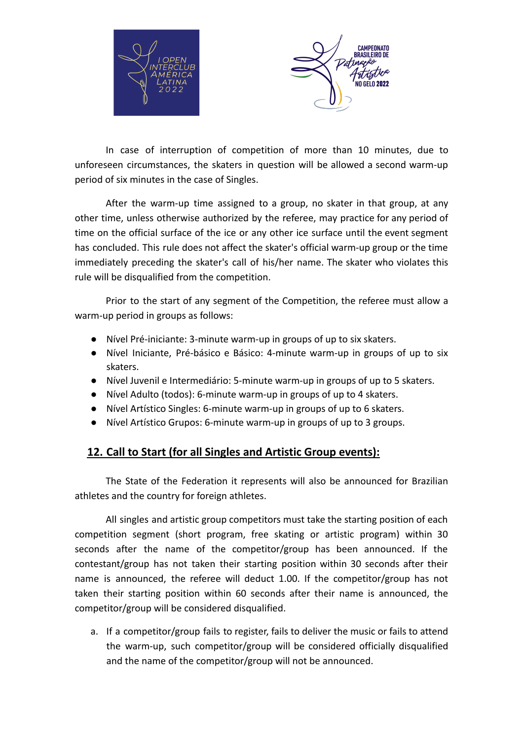



In case of interruption of competition of more than 10 minutes, due to unforeseen circumstances, the skaters in question will be allowed a second warm-up period of six minutes in the case of Singles.

After the warm-up time assigned to a group, no skater in that group, at any other time, unless otherwise authorized by the referee, may practice for any period of time on the official surface of the ice or any other ice surface until the event segment has concluded. This rule does not affect the skater's official warm-up group or the time immediately preceding the skater's call of his/her name. The skater who violates this rule will be disqualified from the competition.

Prior to the start of any segment of the Competition, the referee must allow a warm-up period in groups as follows:

- Nível Pré-iniciante: 3-minute warm-up in groups of up to six skaters.
- Nível Iniciante, Pré-básico e Básico: 4-minute warm-up in groups of up to six skaters.
- Nível Juvenil e Intermediário: 5-minute warm-up in groups of up to 5 skaters.
- Nível Adulto (todos): 6-minute warm-up in groups of up to 4 skaters.
- Nível Artístico Singles: 6-minute warm-up in groups of up to 6 skaters.
- Nível Artístico Grupos: 6-minute warm-up in groups of up to 3 groups.

## **12. Call to Start (for all Singles and Artistic Group events):**

The State of the Federation it represents will also be announced for Brazilian athletes and the country for foreign athletes.

All singles and artistic group competitors must take the starting position of each competition segment (short program, free skating or artistic program) within 30 seconds after the name of the competitor/group has been announced. If the contestant/group has not taken their starting position within 30 seconds after their name is announced, the referee will deduct 1.00. If the competitor/group has not taken their starting position within 60 seconds after their name is announced, the competitor/group will be considered disqualified.

a. If a competitor/group fails to register, fails to deliver the music or fails to attend the warm-up, such competitor/group will be considered officially disqualified and the name of the competitor/group will not be announced.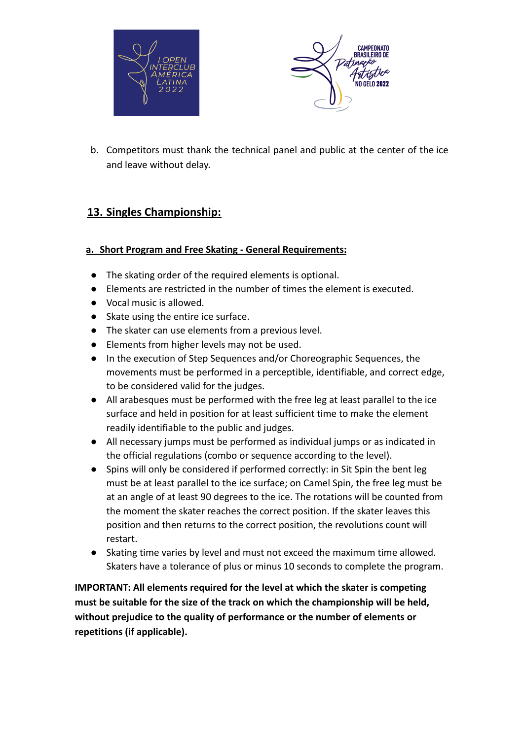



b. Competitors must thank the technical panel and public at the center of the ice and leave without delay.

# **13. Singles Championship:**

## **a. Short Program and Free Skating - General Requirements:**

- The skating order of the required elements is optional.
- Elements are restricted in the number of times the element is executed.
- Vocal music is allowed.
- Skate using the entire ice surface.
- The skater can use elements from a previous level.
- Elements from higher levels may not be used.
- In the execution of Step Sequences and/or Choreographic Sequences, the movements must be performed in a perceptible, identifiable, and correct edge, to be considered valid for the judges.
- All arabesques must be performed with the free leg at least parallel to the ice surface and held in position for at least sufficient time to make the element readily identifiable to the public and judges.
- All necessary jumps must be performed as individual jumps or as indicated in the official regulations (combo or sequence according to the level).
- Spins will only be considered if performed correctly: in Sit Spin the bent leg must be at least parallel to the ice surface; on Camel Spin, the free leg must be at an angle of at least 90 degrees to the ice. The rotations will be counted from the moment the skater reaches the correct position. If the skater leaves this position and then returns to the correct position, the revolutions count will restart.
- Skating time varies by level and must not exceed the maximum time allowed. Skaters have a tolerance of plus or minus 10 seconds to complete the program.

**IMPORTANT: All elements required for the level at which the skater is competing must be suitable for the size of the track on which the championship will be held, without prejudice to the quality of performance or the number of elements or repetitions (if applicable).**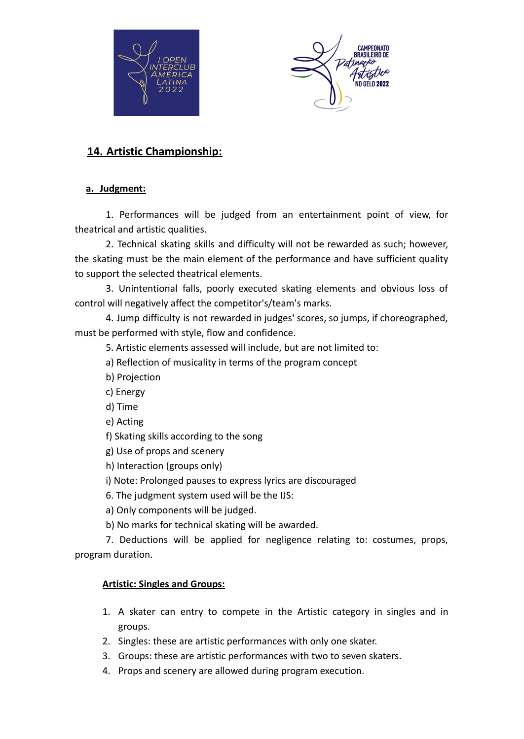



# **14. Artistic Championship:**

### **a. Judgment:**

1. Performances will be judged from an entertainment point of view, for theatrical and artistic qualities.

2. Technical skating skills and difficulty will not be rewarded as such; however, the skating must be the main element of the performance and have sufficient quality to support the selected theatrical elements.

3. Unintentional falls, poorly executed skating elements and obvious loss of control will negatively affect the competitor's/team's marks.

4. Jump difficulty is not rewarded in judges' scores, so jumps, if choreographed, must be performed with style, flow and confidence.

5. Artistic elements assessed will include, but are not limited to:

a) Reflection of musicality in terms of the program concept

b) Projection

c) Energy

d) Time

e) Acting

f) Skating skills according to the song

g) Use of props and scenery

h) Interaction (groups only)

i) Note: Prolonged pauses to express lyrics are discouraged

6. The judgment system used will be the IJS:

a) Only components will be judged.

b) No marks for technical skating will be awarded.

7. Deductions will be applied for negligence relating to: costumes, props, program duration.

## **Artistic: Singles and Groups:**

- 1. A skater can entry to compete in the Artistic category in singles and in groups.
- 2. Singles: these are artistic performances with only one skater.
- 3. Groups: these are artistic performances with two to seven skaters.
- 4. Props and scenery are allowed during program execution.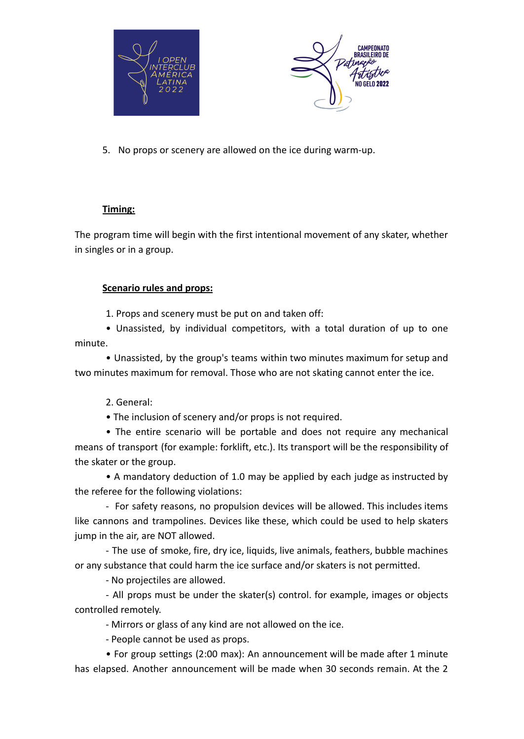



5. No props or scenery are allowed on the ice during warm-up.

### **Timing:**

The program time will begin with the first intentional movement of any skater, whether in singles or in a group.

#### **Scenario rules and props:**

1. Props and scenery must be put on and taken off:

• Unassisted, by individual competitors, with a total duration of up to one minute.

• Unassisted, by the group's teams within two minutes maximum for setup and two minutes maximum for removal. Those who are not skating cannot enter the ice.

2. General:

• The inclusion of scenery and/or props is not required.

• The entire scenario will be portable and does not require any mechanical means of transport (for example: forklift, etc.). Its transport will be the responsibility of the skater or the group.

• A mandatory deduction of 1.0 may be applied by each judge as instructed by the referee for the following violations:

- For safety reasons, no propulsion devices will be allowed. This includes items like cannons and trampolines. Devices like these, which could be used to help skaters jump in the air, are NOT allowed.

- The use of smoke, fire, dry ice, liquids, live animals, feathers, bubble machines or any substance that could harm the ice surface and/or skaters is not permitted.

- No projectiles are allowed.

- All props must be under the skater(s) control. for example, images or objects controlled remotely.

- Mirrors or glass of any kind are not allowed on the ice.

- People cannot be used as props.

• For group settings (2:00 max): An announcement will be made after 1 minute has elapsed. Another announcement will be made when 30 seconds remain. At the 2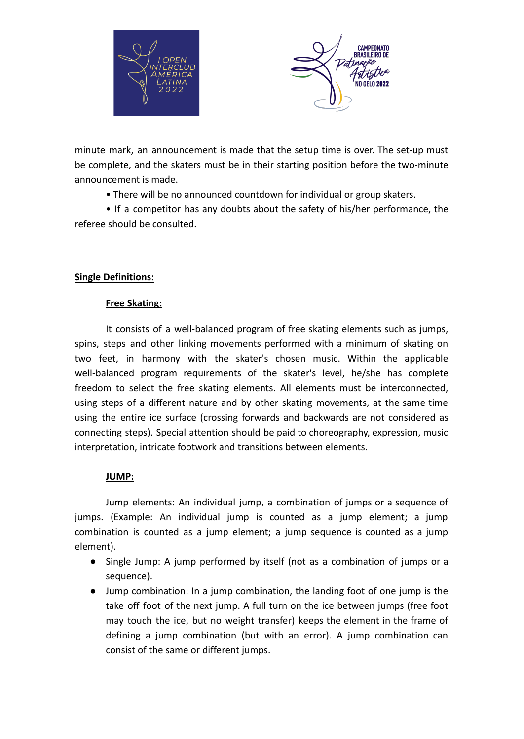



minute mark, an announcement is made that the setup time is over. The set-up must be complete, and the skaters must be in their starting position before the two-minute announcement is made.

• There will be no announced countdown for individual or group skaters.

• If a competitor has any doubts about the safety of his/her performance, the referee should be consulted.

## **Single Definitions:**

### **Free Skating:**

It consists of a well-balanced program of free skating elements such as jumps, spins, steps and other linking movements performed with a minimum of skating on two feet, in harmony with the skater's chosen music. Within the applicable well-balanced program requirements of the skater's level, he/she has complete freedom to select the free skating elements. All elements must be interconnected, using steps of a different nature and by other skating movements, at the same time using the entire ice surface (crossing forwards and backwards are not considered as connecting steps). Special attention should be paid to choreography, expression, music interpretation, intricate footwork and transitions between elements.

## **JUMP:**

Jump elements: An individual jump, a combination of jumps or a sequence of jumps. (Example: An individual jump is counted as a jump element; a jump combination is counted as a jump element; a jump sequence is counted as a jump element).

- Single Jump: A jump performed by itself (not as a combination of jumps or a sequence).
- Jump combination: In a jump combination, the landing foot of one jump is the take off foot of the next jump. A full turn on the ice between jumps (free foot may touch the ice, but no weight transfer) keeps the element in the frame of defining a jump combination (but with an error). A jump combination can consist of the same or different jumps.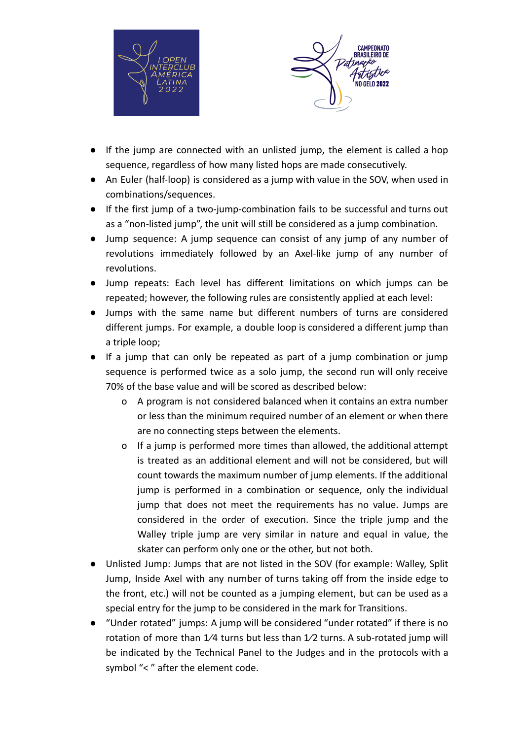



- If the jump are connected with an unlisted jump, the element is called a hop sequence, regardless of how many listed hops are made consecutively.
- An Euler (half-loop) is considered as a jump with value in the SOV, when used in combinations/sequences.
- If the first jump of a two-jump-combination fails to be successful and turns out as a "non-listed jump", the unit will still be considered as a jump combination.
- Jump sequence: A jump sequence can consist of any jump of any number of revolutions immediately followed by an Axel-like jump of any number of revolutions.
- Jump repeats: Each level has different limitations on which jumps can be repeated; however, the following rules are consistently applied at each level:
- Jumps with the same name but different numbers of turns are considered different jumps. For example, a double loop is considered a different jump than a triple loop;
- If a jump that can only be repeated as part of a jump combination or jump sequence is performed twice as a solo jump, the second run will only receive 70% of the base value and will be scored as described below:
	- o A program is not considered balanced when it contains an extra number or less than the minimum required number of an element or when there are no connecting steps between the elements.
	- o If a jump is performed more times than allowed, the additional attempt is treated as an additional element and will not be considered, but will count towards the maximum number of jump elements. If the additional jump is performed in a combination or sequence, only the individual jump that does not meet the requirements has no value. Jumps are considered in the order of execution. Since the triple jump and the Walley triple jump are very similar in nature and equal in value, the skater can perform only one or the other, but not both.
- Unlisted Jump: Jumps that are not listed in the SOV (for example: Walley, Split Jump, Inside Axel with any number of turns taking off from the inside edge to the front, etc.) will not be counted as a jumping element, but can be used as a special entry for the jump to be considered in the mark for Transitions.
- "Under rotated" jumps: A jump will be considered "under rotated" if there is no rotation of more than 1⁄4 turns but less than 1⁄2 turns. A sub-rotated jump will be indicated by the Technical Panel to the Judges and in the protocols with a symbol "< " after the element code.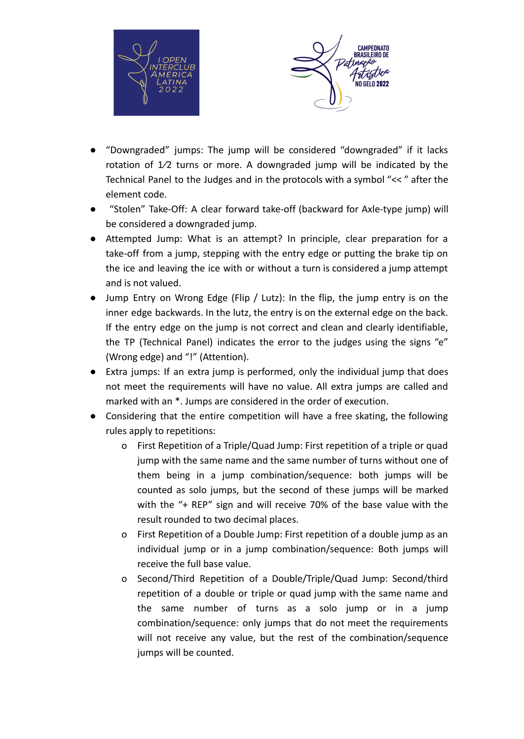



- "Downgraded" jumps: The jump will be considered "downgraded" if it lacks rotation of 1⁄2 turns or more. A downgraded jump will be indicated by the Technical Panel to the Judges and in the protocols with a symbol "<< " after the element code.
- "Stolen" Take-Off: A clear forward take-off (backward for Axle-type jump) will be considered a downgraded jump.
- Attempted Jump: What is an attempt? In principle, clear preparation for a take-off from a jump, stepping with the entry edge or putting the brake tip on the ice and leaving the ice with or without a turn is considered a jump attempt and is not valued.
- Jump Entry on Wrong Edge (Flip / Lutz): In the flip, the jump entry is on the inner edge backwards. In the lutz, the entry is on the external edge on the back. If the entry edge on the jump is not correct and clean and clearly identifiable, the TP (Technical Panel) indicates the error to the judges using the signs "e" (Wrong edge) and "!" (Attention).
- Extra jumps: If an extra jump is performed, only the individual jump that does not meet the requirements will have no value. All extra jumps are called and marked with an \*. Jumps are considered in the order of execution.
- Considering that the entire competition will have a free skating, the following rules apply to repetitions:
	- o First Repetition of a Triple/Quad Jump: First repetition of a triple or quad jump with the same name and the same number of turns without one of them being in a jump combination/sequence: both jumps will be counted as solo jumps, but the second of these jumps will be marked with the "+ REP" sign and will receive 70% of the base value with the result rounded to two decimal places.
	- o First Repetition of a Double Jump: First repetition of a double jump as an individual jump or in a jump combination/sequence: Both jumps will receive the full base value.
	- o Second/Third Repetition of a Double/Triple/Quad Jump: Second/third repetition of a double or triple or quad jump with the same name and the same number of turns as a solo jump or in a jump combination/sequence: only jumps that do not meet the requirements will not receive any value, but the rest of the combination/sequence jumps will be counted.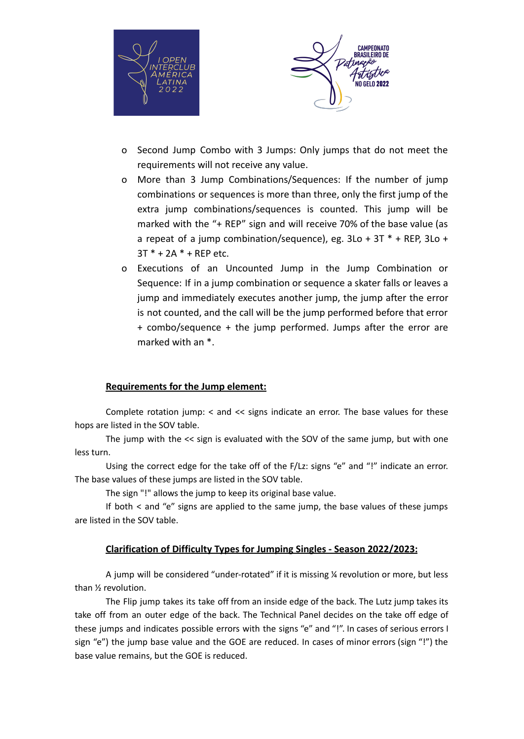



- o Second Jump Combo with 3 Jumps: Only jumps that do not meet the requirements will not receive any value.
- o More than 3 Jump Combinations/Sequences: If the number of jump combinations or sequences is more than three, only the first jump of the extra jump combinations/sequences is counted. This jump will be marked with the "+ REP" sign and will receive 70% of the base value (as a repeat of a jump combination/sequence), eg.  $3Lo + 3T^* + REP$ ,  $3Lo +$ 3T \* + 2A \* + REP etc.
- o Executions of an Uncounted Jump in the Jump Combination or Sequence: If in a jump combination or sequence a skater falls or leaves a jump and immediately executes another jump, the jump after the error is not counted, and the call will be the jump performed before that error + combo/sequence + the jump performed. Jumps after the error are marked with an \*.

#### **Requirements for the Jump element:**

Complete rotation jump: < and << signs indicate an error. The base values for these hops are listed in the SOV table.

The jump with the << sign is evaluated with the SOV of the same jump, but with one less turn.

Using the correct edge for the take off of the F/Lz: signs "e" and "!" indicate an error. The base values of these jumps are listed in the SOV table.

The sign "!" allows the jump to keep its original base value.

If both < and "e" signs are applied to the same jump, the base values of these jumps are listed in the SOV table.

#### **Clarification of Difficulty Types for Jumping Singles - Season 2022/2023:**

A jump will be considered "under-rotated" if it is missing ¼ revolution or more, but less than ½ revolution.

The Flip jump takes its take off from an inside edge of the back. The Lutz jump takes its take off from an outer edge of the back. The Technical Panel decides on the take off edge of these jumps and indicates possible errors with the signs "e" and "!". In cases of serious errors I sign "e") the jump base value and the GOE are reduced. In cases of minor errors (sign "!") the base value remains, but the GOE is reduced.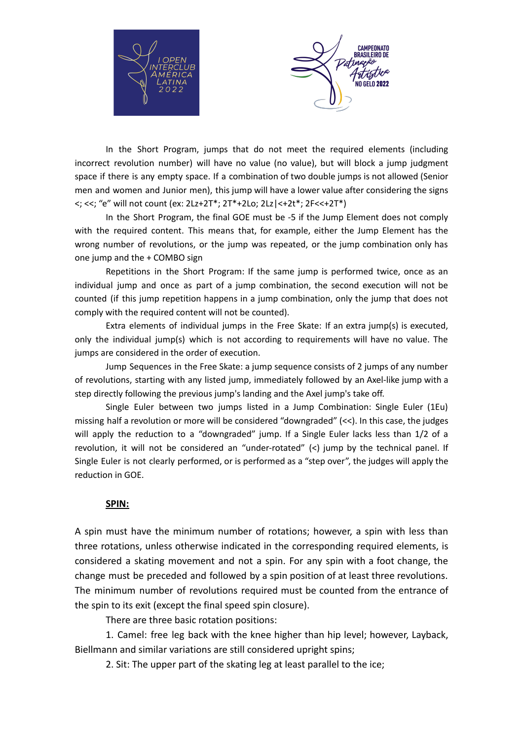



In the Short Program, jumps that do not meet the required elements (including incorrect revolution number) will have no value (no value), but will block a jump judgment space if there is any empty space. If a combination of two double jumps is not allowed (Senior men and women and Junior men), this jump will have a lower value after considering the signs <; <<; "e" will not count (ex: 2Lz+2T\*; 2T\*+2Lo; 2Lz|<+2t\*; 2F<<+2T\*)

In the Short Program, the final GOE must be -5 if the Jump Element does not comply with the required content. This means that, for example, either the Jump Element has the wrong number of revolutions, or the jump was repeated, or the jump combination only has one jump and the + COMBO sign

Repetitions in the Short Program: If the same jump is performed twice, once as an individual jump and once as part of a jump combination, the second execution will not be counted (if this jump repetition happens in a jump combination, only the jump that does not comply with the required content will not be counted).

Extra elements of individual jumps in the Free Skate: If an extra jump(s) is executed, only the individual jump(s) which is not according to requirements will have no value. The jumps are considered in the order of execution.

Jump Sequences in the Free Skate: a jump sequence consists of 2 jumps of any number of revolutions, starting with any listed jump, immediately followed by an Axel-like jump with a step directly following the previous jump's landing and the Axel jump's take off.

Single Euler between two jumps listed in a Jump Combination: Single Euler (1Eu) missing half a revolution or more will be considered "downgraded" (<<). In this case, the judges will apply the reduction to a "downgraded" jump. If a Single Euler lacks less than 1/2 of a revolution, it will not be considered an "under-rotated" (<) jump by the technical panel. If Single Euler is not clearly performed, or is performed as a "step over", the judges will apply the reduction in GOE.

#### **SPIN:**

A spin must have the minimum number of rotations; however, a spin with less than three rotations, unless otherwise indicated in the corresponding required elements, is considered a skating movement and not a spin. For any spin with a foot change, the change must be preceded and followed by a spin position of at least three revolutions. The minimum number of revolutions required must be counted from the entrance of the spin to its exit (except the final speed spin closure).

There are three basic rotation positions:

1. Camel: free leg back with the knee higher than hip level; however, Layback, Biellmann and similar variations are still considered upright spins;

2. Sit: The upper part of the skating leg at least parallel to the ice;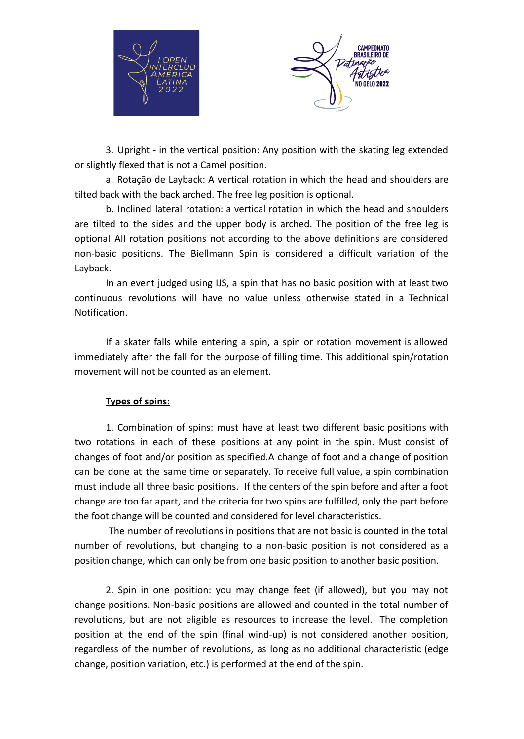



3. Upright - in the vertical position: Any position with the skating leg extended or slightly flexed that is not a Camel position.

a. Rotação de Layback: A vertical rotation in which the head and shoulders are tilted back with the back arched. The free leg position is optional.

b. Inclined lateral rotation: a vertical rotation in which the head and shoulders are tilted to the sides and the upper body is arched. The position of the free leg is optional All rotation positions not according to the above definitions are considered non-basic positions. The Biellmann Spin is considered a difficult variation of the Layback.

In an event judged using IJS, a spin that has no basic position with at least two continuous revolutions will have no value unless otherwise stated in a Technical Notification.

If a skater falls while entering a spin, a spin or rotation movement is allowed immediately after the fall for the purpose of filling time. This additional spin/rotation movement will not be counted as an element.

#### **Types of spins:**

1. Combination of spins: must have at least two different basic positions with two rotations in each of these positions at any point in the spin. Must consist of changes of foot and/or position as specified.A change of foot and a change of position can be done at the same time or separately. To receive full value, a spin combination must include all three basic positions. If the centers of the spin before and after a foot change are too far apart, and the criteria for two spins are fulfilled, only the part before the foot change will be counted and considered for level characteristics.

The number of revolutions in positions that are not basic is counted in the total number of revolutions, but changing to a non-basic position is not considered as a position change, which can only be from one basic position to another basic position.

2. Spin in one position: you may change feet (if allowed), but you may not change positions. Non-basic positions are allowed and counted in the total number of revolutions, but are not eligible as resources to increase the level. The completion position at the end of the spin (final wind-up) is not considered another position, regardless of the number of revolutions, as long as no additional characteristic (edge change, position variation, etc.) is performed at the end of the spin.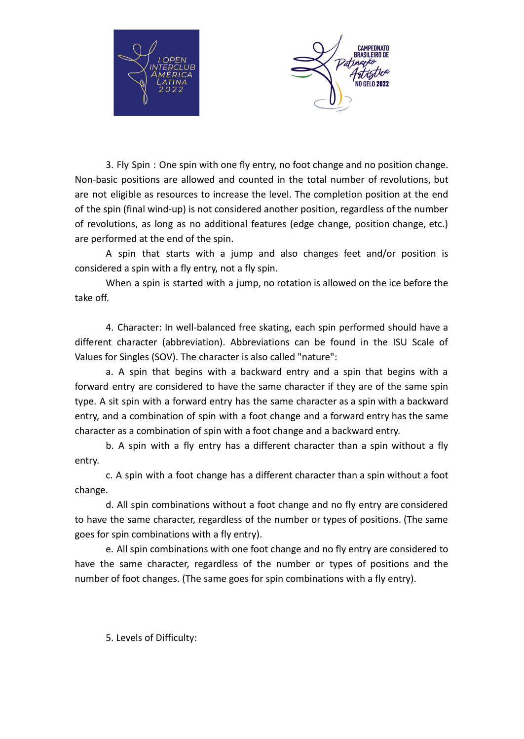



3. Fly Spin : One spin with one fly entry, no foot change and no position change. Non-basic positions are allowed and counted in the total number of revolutions, but are not eligible as resources to increase the level. The completion position at the end of the spin (final wind-up) is not considered another position, regardless of the number of revolutions, as long as no additional features (edge change, position change, etc.) are performed at the end of the spin.

A spin that starts with a jump and also changes feet and/or position is considered a spin with a fly entry, not a fly spin.

When a spin is started with a jump, no rotation is allowed on the ice before the take off.

4. Character: In well-balanced free skating, each spin performed should have a different character (abbreviation). Abbreviations can be found in the ISU Scale of Values for Singles (SOV). The character is also called "nature":

a. A spin that begins with a backward entry and a spin that begins with a forward entry are considered to have the same character if they are of the same spin type. A sit spin with a forward entry has the same character as a spin with a backward entry, and a combination of spin with a foot change and a forward entry has the same character as a combination of spin with a foot change and a backward entry.

b. A spin with a fly entry has a different character than a spin without a fly entry.

c. A spin with a foot change has a different character than a spin without a foot change.

d. All spin combinations without a foot change and no fly entry are considered to have the same character, regardless of the number or types of positions. (The same goes for spin combinations with a fly entry).

e. All spin combinations with one foot change and no fly entry are considered to have the same character, regardless of the number or types of positions and the number of foot changes. (The same goes for spin combinations with a fly entry).

5. Levels of Difficulty: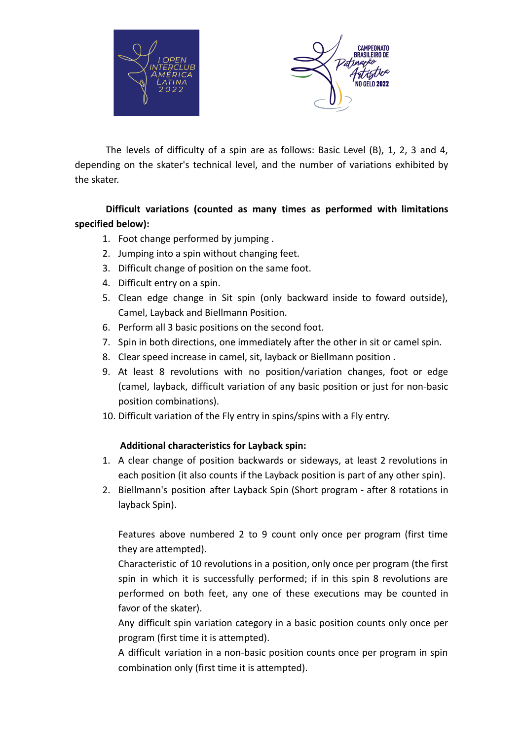



The levels of difficulty of a spin are as follows: Basic Level (B), 1, 2, 3 and 4, depending on the skater's technical level, and the number of variations exhibited by the skater.

**Difficult variations (counted as many times as performed with limitations specified below):**

- 1. Foot change performed by jumping .
- 2. Jumping into a spin without changing feet.
- 3. Difficult change of position on the same foot.
- 4. Difficult entry on a spin.
- 5. Clean edge change in Sit spin (only backward inside to foward outside), Camel, Layback and Biellmann Position.
- 6. Perform all 3 basic positions on the second foot.
- 7. Spin in both directions, one immediately after the other in sit or camel spin.
- 8. Clear speed increase in camel, sit, layback or Biellmann position .
- 9. At least 8 revolutions with no position/variation changes, foot or edge (camel, layback, difficult variation of any basic position or just for non-basic position combinations).
- 10. Difficult variation of the Fly entry in spins/spins with a Fly entry.

## **Additional characteristics for Layback spin:**

- 1. A clear change of position backwards or sideways, at least 2 revolutions in each position (it also counts if the Layback position is part of any other spin).
- 2. Biellmann's position after Layback Spin (Short program after 8 rotations in layback Spin).

Features above numbered 2 to 9 count only once per program (first time they are attempted).

Characteristic of 10 revolutions in a position, only once per program (the first spin in which it is successfully performed; if in this spin 8 revolutions are performed on both feet, any one of these executions may be counted in favor of the skater).

Any difficult spin variation category in a basic position counts only once per program (first time it is attempted).

A difficult variation in a non-basic position counts once per program in spin combination only (first time it is attempted).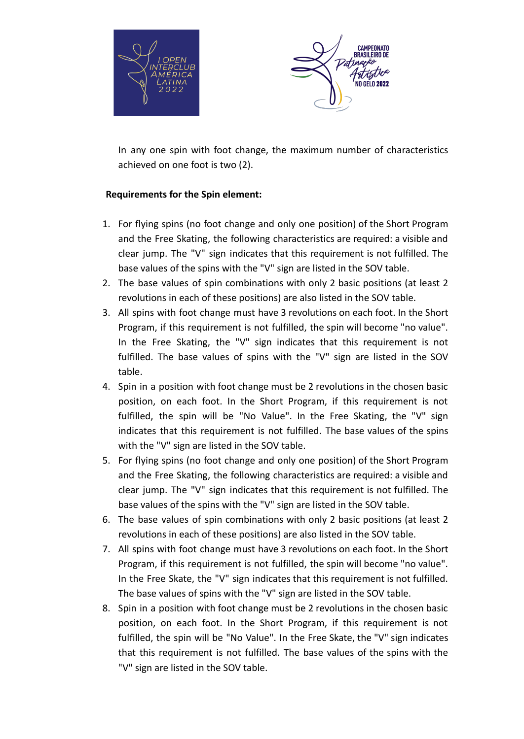



In any one spin with foot change, the maximum number of characteristics achieved on one foot is two (2).

#### **Requirements for the Spin element:**

- 1. For flying spins (no foot change and only one position) of the Short Program and the Free Skating, the following characteristics are required: a visible and clear jump. The "V" sign indicates that this requirement is not fulfilled. The base values of the spins with the "V" sign are listed in the SOV table.
- 2. The base values of spin combinations with only 2 basic positions (at least 2 revolutions in each of these positions) are also listed in the SOV table.
- 3. All spins with foot change must have 3 revolutions on each foot. In the Short Program, if this requirement is not fulfilled, the spin will become "no value". In the Free Skating, the "V" sign indicates that this requirement is not fulfilled. The base values of spins with the "V" sign are listed in the SOV table.
- 4. Spin in a position with foot change must be 2 revolutions in the chosen basic position, on each foot. In the Short Program, if this requirement is not fulfilled, the spin will be "No Value". In the Free Skating, the "V" sign indicates that this requirement is not fulfilled. The base values of the spins with the "V" sign are listed in the SOV table.
- 5. For flying spins (no foot change and only one position) of the Short Program and the Free Skating, the following characteristics are required: a visible and clear jump. The "V" sign indicates that this requirement is not fulfilled. The base values of the spins with the "V" sign are listed in the SOV table.
- 6. The base values of spin combinations with only 2 basic positions (at least 2 revolutions in each of these positions) are also listed in the SOV table.
- 7. All spins with foot change must have 3 revolutions on each foot. In the Short Program, if this requirement is not fulfilled, the spin will become "no value". In the Free Skate, the "V" sign indicates that this requirement is not fulfilled. The base values of spins with the "V" sign are listed in the SOV table.
- 8. Spin in a position with foot change must be 2 revolutions in the chosen basic position, on each foot. In the Short Program, if this requirement is not fulfilled, the spin will be "No Value". In the Free Skate, the "V" sign indicates that this requirement is not fulfilled. The base values of the spins with the "V" sign are listed in the SOV table.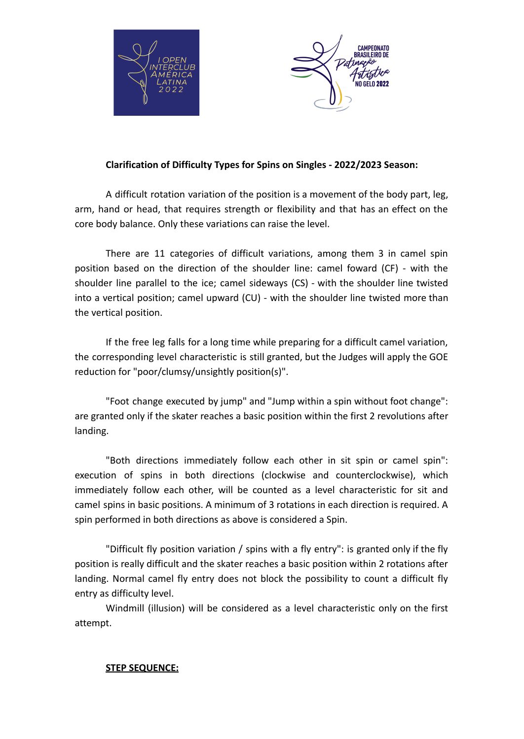



#### **Clarification of Difficulty Types for Spins on Singles - 2022/2023 Season:**

A difficult rotation variation of the position is a movement of the body part, leg, arm, hand or head, that requires strength or flexibility and that has an effect on the core body balance. Only these variations can raise the level.

There are 11 categories of difficult variations, among them 3 in camel spin position based on the direction of the shoulder line: camel foward (CF) - with the shoulder line parallel to the ice; camel sideways (CS) - with the shoulder line twisted into a vertical position; camel upward (CU) - with the shoulder line twisted more than the vertical position.

If the free leg falls for a long time while preparing for a difficult camel variation, the corresponding level characteristic is still granted, but the Judges will apply the GOE reduction for "poor/clumsy/unsightly position(s)".

"Foot change executed by jump" and "Jump within a spin without foot change": are granted only if the skater reaches a basic position within the first 2 revolutions after landing.

"Both directions immediately follow each other in sit spin or camel spin": execution of spins in both directions (clockwise and counterclockwise), which immediately follow each other, will be counted as a level characteristic for sit and camel spins in basic positions. A minimum of 3 rotations in each direction is required. A spin performed in both directions as above is considered a Spin.

"Difficult fly position variation / spins with a fly entry": is granted only if the fly position is really difficult and the skater reaches a basic position within 2 rotations after landing. Normal camel fly entry does not block the possibility to count a difficult fly entry as difficulty level.

Windmill (illusion) will be considered as a level characteristic only on the first attempt.

#### **STEP SEQUENCE:**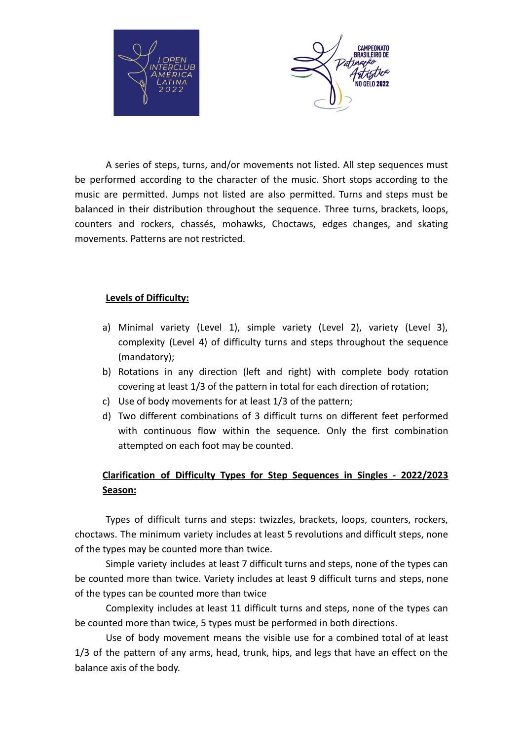



A series of steps, turns, and/or movements not listed. All step sequences must be performed according to the character of the music. Short stops according to the music are permitted. Jumps not listed are also permitted. Turns and steps must be balanced in their distribution throughout the sequence. Three turns, brackets, loops, counters and rockers, chassés, mohawks, Choctaws, edges changes, and skating movements. Patterns are not restricted.

#### **Levels of Difficulty:**

- a) Minimal variety (Level 1), simple variety (Level 2), variety (Level 3), complexity (Level 4) of difficulty turns and steps throughout the sequence (mandatory);
- b) Rotations in any direction (left and right) with complete body rotation covering at least 1/3 of the pattern in total for each direction of rotation;
- c) Use of body movements for at least 1/3 of the pattern;
- d) Two different combinations of 3 difficult turns on different feet performed with continuous flow within the sequence. Only the first combination attempted on each foot may be counted.

## **Clarification of Difficulty Types for Step Sequences in Singles - 2022/2023 Season:**

Types of difficult turns and steps: twizzles, brackets, loops, counters, rockers, choctaws. The minimum variety includes at least 5 revolutions and difficult steps, none of the types may be counted more than twice.

Simple variety includes at least 7 difficult turns and steps, none of the types can be counted more than twice. Variety includes at least 9 difficult turns and steps, none of the types can be counted more than twice

Complexity includes at least 11 difficult turns and steps, none of the types can be counted more than twice, 5 types must be performed in both directions.

Use of body movement means the visible use for a combined total of at least 1/3 of the pattern of any arms, head, trunk, hips, and legs that have an effect on the balance axis of the body.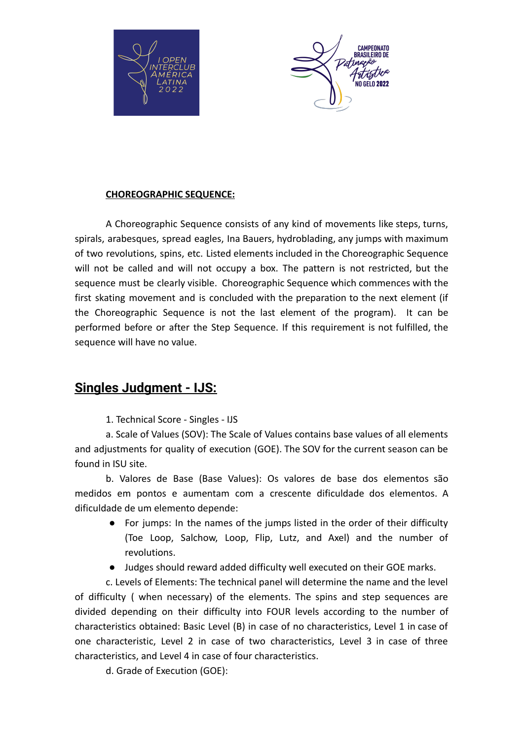



#### **CHOREOGRAPHIC SEQUENCE:**

A Choreographic Sequence consists of any kind of movements like steps, turns, spirals, arabesques, spread eagles, Ina Bauers, hydroblading, any jumps with maximum of two revolutions, spins, etc. Listed elements included in the Choreographic Sequence will not be called and will not occupy a box. The pattern is not restricted, but the sequence must be clearly visible. Choreographic Sequence which commences with the first skating movement and is concluded with the preparation to the next element (if the Choreographic Sequence is not the last element of the program). It can be performed before or after the Step Sequence. If this requirement is not fulfilled, the sequence will have no value.

# **Singles Judgment - IJS:**

1. Technical Score - Singles - IJS

a. Scale of Values (SOV): The Scale of Values contains base values of all elements and adjustments for quality of execution (GOE). The SOV for the current season can be found in ISU site.

b. Valores de Base (Base Values): Os valores de base dos elementos são medidos em pontos e aumentam com a crescente dificuldade dos elementos. A dificuldade de um elemento depende:

- For jumps: In the names of the jumps listed in the order of their difficulty (Toe Loop, Salchow, Loop, Flip, Lutz, and Axel) and the number of revolutions.
- Judges should reward added difficulty well executed on their GOE marks.

c. Levels of Elements: The technical panel will determine the name and the level of difficulty ( when necessary) of the elements. The spins and step sequences are divided depending on their difficulty into FOUR levels according to the number of characteristics obtained: Basic Level (B) in case of no characteristics, Level 1 in case of one characteristic, Level 2 in case of two characteristics, Level 3 in case of three characteristics, and Level 4 in case of four characteristics.

d. Grade of Execution (GOE):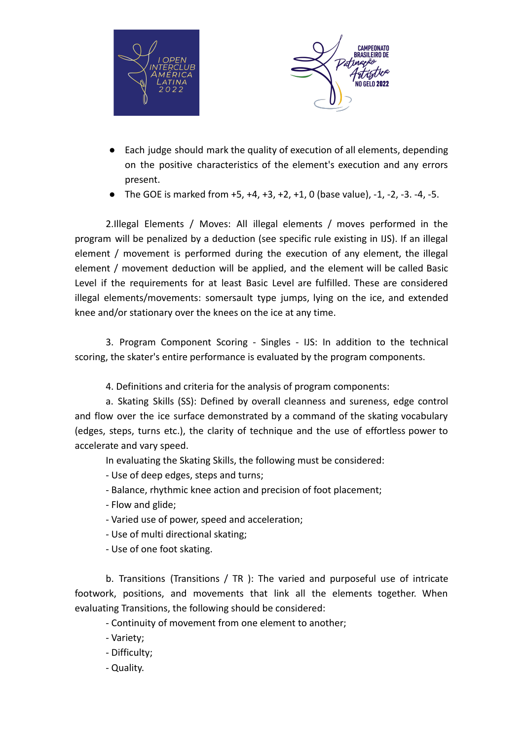



- Each judge should mark the quality of execution of all elements, depending on the positive characteristics of the element's execution and any errors present.
- The GOE is marked from  $+5$ ,  $+4$ ,  $+3$ ,  $+2$ ,  $+1$ , 0 (base value),  $-1$ ,  $-2$ ,  $-3$ .  $-4$ ,  $-5$ .

2.Illegal Elements / Moves: All illegal elements / moves performed in the program will be penalized by a deduction (see specific rule existing in IJS). If an illegal element / movement is performed during the execution of any element, the illegal element / movement deduction will be applied, and the element will be called Basic Level if the requirements for at least Basic Level are fulfilled. These are considered illegal elements/movements: somersault type jumps, lying on the ice, and extended knee and/or stationary over the knees on the ice at any time.

3. Program Component Scoring - Singles - IJS: In addition to the technical scoring, the skater's entire performance is evaluated by the program components.

4. Definitions and criteria for the analysis of program components:

a. Skating Skills (SS): Defined by overall cleanness and sureness, edge control and flow over the ice surface demonstrated by a command of the skating vocabulary (edges, steps, turns etc.), the clarity of technique and the use of effortless power to accelerate and vary speed.

In evaluating the Skating Skills, the following must be considered:

- Use of deep edges, steps and turns;

- Balance, rhythmic knee action and precision of foot placement;

- Flow and glide;

- Varied use of power, speed and acceleration;
- Use of multi directional skating;

- Use of one foot skating.

b. Transitions (Transitions / TR ): The varied and purposeful use of intricate footwork, positions, and movements that link all the elements together. When evaluating Transitions, the following should be considered:

- Continuity of movement from one element to another;

- Variety;

- Difficulty;
- Quality.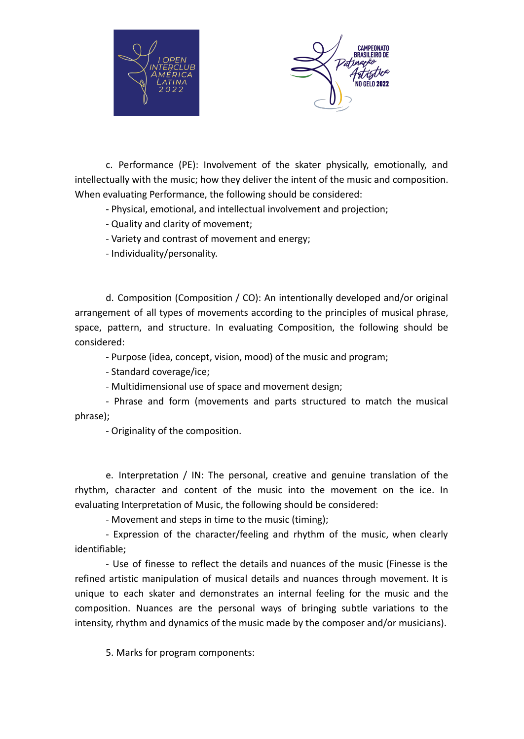



c. Performance (PE): Involvement of the skater physically, emotionally, and intellectually with the music; how they deliver the intent of the music and composition. When evaluating Performance, the following should be considered:

- Physical, emotional, and intellectual involvement and projection;

- Quality and clarity of movement;
- Variety and contrast of movement and energy;
- Individuality/personality.

d. Composition (Composition / CO): An intentionally developed and/or original arrangement of all types of movements according to the principles of musical phrase, space, pattern, and structure. In evaluating Composition, the following should be considered:

- Purpose (idea, concept, vision, mood) of the music and program;

- Standard coverage/ice;

- Multidimensional use of space and movement design;

- Phrase and form (movements and parts structured to match the musical phrase);

- Originality of the composition.

e. Interpretation / IN: The personal, creative and genuine translation of the rhythm, character and content of the music into the movement on the ice. In evaluating Interpretation of Music, the following should be considered:

- Movement and steps in time to the music (timing);

- Expression of the character/feeling and rhythm of the music, when clearly identifiable;

- Use of finesse to reflect the details and nuances of the music (Finesse is the refined artistic manipulation of musical details and nuances through movement. It is unique to each skater and demonstrates an internal feeling for the music and the composition. Nuances are the personal ways of bringing subtle variations to the intensity, rhythm and dynamics of the music made by the composer and/or musicians).

5. Marks for program components: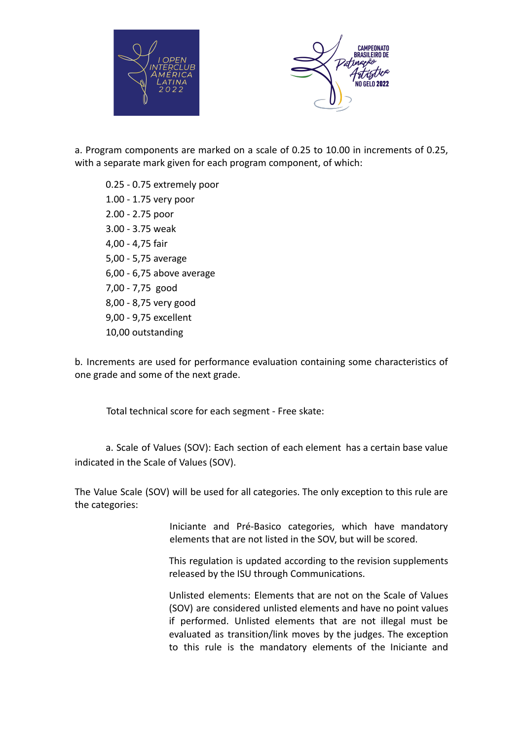



a. Program components are marked on a scale of 0.25 to 10.00 in increments of 0.25, with a separate mark given for each program component, of which:

0.25 - 0.75 extremely poor 1.00 - 1.75 very poor 2.00 - 2.75 poor 3.00 - 3.75 weak 4,00 - 4,75 fair 5,00 - 5,75 average 6,00 - 6,75 above average 7,00 - 7,75 good 8,00 - 8,75 very good 9,00 - 9,75 excellent 10,00 outstanding

b. Increments are used for performance evaluation containing some characteristics of one grade and some of the next grade.

Total technical score for each segment - Free skate:

a. Scale of Values (SOV): Each section of each element has a certain base value indicated in the Scale of Values (SOV).

The Value Scale (SOV) will be used for all categories. The only exception to this rule are the categories:

> Iniciante and Pré-Basico categories, which have mandatory elements that are not listed in the SOV, but will be scored.

> This regulation is updated according to the revision supplements released by the ISU through Communications.

> Unlisted elements: Elements that are not on the Scale of Values (SOV) are considered unlisted elements and have no point values if performed. Unlisted elements that are not illegal must be evaluated as transition/link moves by the judges. The exception to this rule is the mandatory elements of the Iniciante and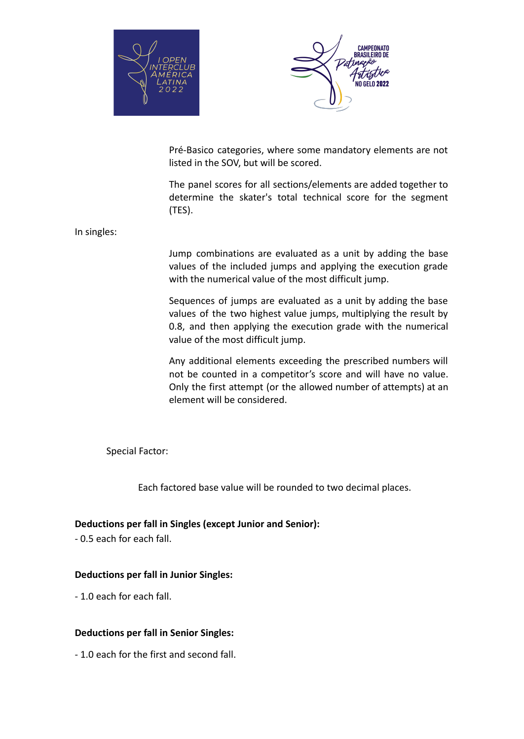



Pré-Basico categories, where some mandatory elements are not listed in the SOV, but will be scored.

The panel scores for all sections/elements are added together to determine the skater's total technical score for the segment (TES).

In singles:

Jump combinations are evaluated as a unit by adding the base values of the included jumps and applying the execution grade with the numerical value of the most difficult jump.

Sequences of jumps are evaluated as a unit by adding the base values of the two highest value jumps, multiplying the result by 0.8, and then applying the execution grade with the numerical value of the most difficult jump.

Any additional elements exceeding the prescribed numbers will not be counted in a competitor's score and will have no value. Only the first attempt (or the allowed number of attempts) at an element will be considered.

Special Factor:

Each factored base value will be rounded to two decimal places.

#### **Deductions per fall in Singles (except Junior and Senior):**

- 0.5 each for each fall.

#### **Deductions per fall in Junior Singles:**

- 1.0 each for each fall.

#### **Deductions per fall in Senior Singles:**

- 1.0 each for the first and second fall.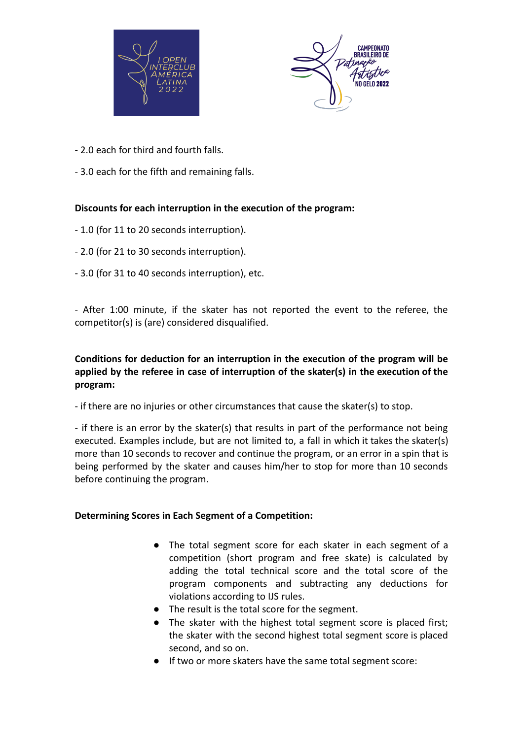



- 2.0 each for third and fourth falls.
- 3.0 each for the fifth and remaining falls.

#### **Discounts for each interruption in the execution of the program:**

- 1.0 (for 11 to 20 seconds interruption).
- 2.0 (for 21 to 30 seconds interruption).
- 3.0 (for 31 to 40 seconds interruption), etc.

- After 1:00 minute, if the skater has not reported the event to the referee, the competitor(s) is (are) considered disqualified.

### **Conditions for deduction for an interruption in the execution of the program will be applied by the referee in case of interruption of the skater(s) in the execution of the program:**

- if there are no injuries or other circumstances that cause the skater(s) to stop.

- if there is an error by the skater(s) that results in part of the performance not being executed. Examples include, but are not limited to, a fall in which it takes the skater(s) more than 10 seconds to recover and continue the program, or an error in a spin that is being performed by the skater and causes him/her to stop for more than 10 seconds before continuing the program.

#### **Determining Scores in Each Segment of a Competition:**

- The total segment score for each skater in each segment of a competition (short program and free skate) is calculated by adding the total technical score and the total score of the program components and subtracting any deductions for violations according to IJS rules.
- The result is the total score for the segment.
- The skater with the highest total segment score is placed first; the skater with the second highest total segment score is placed second, and so on.
- If two or more skaters have the same total segment score: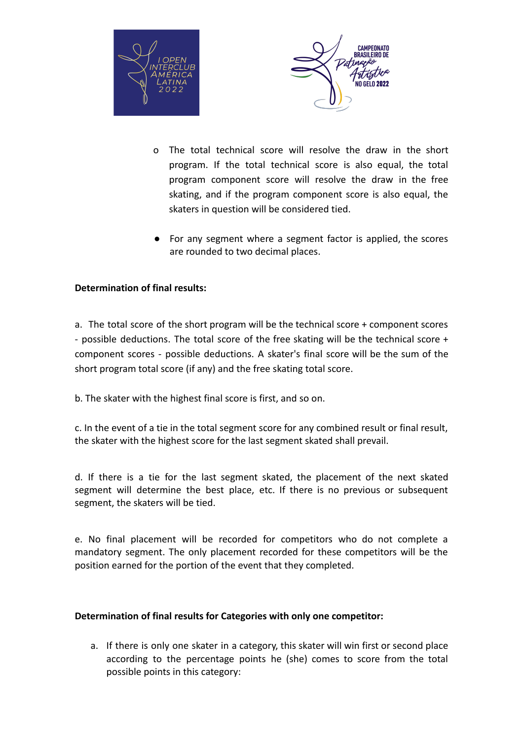



- o The total technical score will resolve the draw in the short program. If the total technical score is also equal, the total program component score will resolve the draw in the free skating, and if the program component score is also equal, the skaters in question will be considered tied.
- For any segment where a segment factor is applied, the scores are rounded to two decimal places.

#### **Determination of final results:**

a. The total score of the short program will be the technical score + component scores - possible deductions. The total score of the free skating will be the technical score + component scores - possible deductions. A skater's final score will be the sum of the short program total score (if any) and the free skating total score.

b. The skater with the highest final score is first, and so on.

c. In the event of a tie in the total segment score for any combined result or final result, the skater with the highest score for the last segment skated shall prevail.

d. If there is a tie for the last segment skated, the placement of the next skated segment will determine the best place, etc. If there is no previous or subsequent segment, the skaters will be tied.

e. No final placement will be recorded for competitors who do not complete a mandatory segment. The only placement recorded for these competitors will be the position earned for the portion of the event that they completed.

#### **Determination of final results for Categories with only one competitor:**

a. If there is only one skater in a category, this skater will win first or second place according to the percentage points he (she) comes to score from the total possible points in this category: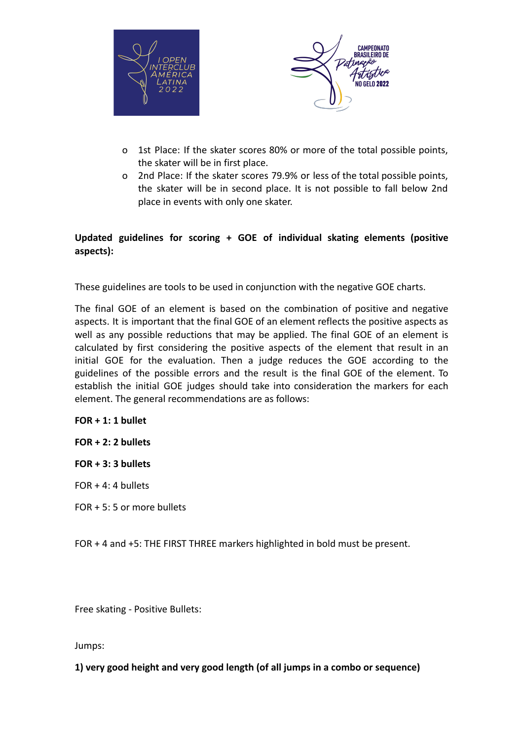



- o 1st Place: If the skater scores 80% or more of the total possible points, the skater will be in first place.
- o 2nd Place: If the skater scores 79.9% or less of the total possible points, the skater will be in second place. It is not possible to fall below 2nd place in events with only one skater.

### **Updated guidelines for scoring + GOE of individual skating elements (positive aspects):**

These guidelines are tools to be used in conjunction with the negative GOE charts.

The final GOE of an element is based on the combination of positive and negative aspects. It is important that the final GOE of an element reflects the positive aspects as well as any possible reductions that may be applied. The final GOE of an element is calculated by first considering the positive aspects of the element that result in an initial GOE for the evaluation. Then a judge reduces the GOE according to the guidelines of the possible errors and the result is the final GOE of the element. To establish the initial GOE judges should take into consideration the markers for each element. The general recommendations are as follows:

#### **FOR + 1: 1 bullet**

#### **FOR + 2: 2 bullets**

#### **FOR + 3: 3 bullets**

- $FOR + 4: 4$  bullets
- FOR + 5: 5 or more bullets

FOR + 4 and +5: THE FIRST THREE markers highlighted in bold must be present.

Free skating - Positive Bullets:

Jumps:

**1) very good height and very good length (of all jumps in a combo or sequence)**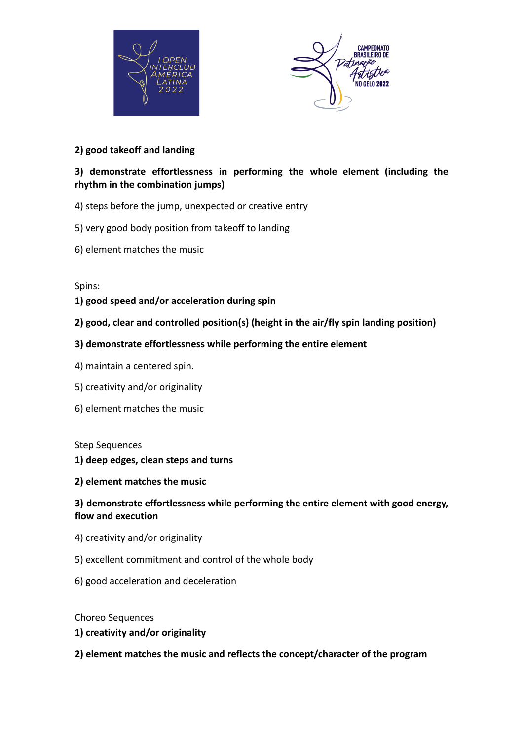



### **2) good takeoff and landing**

## **3) demonstrate effortlessness in performing the whole element (including the rhythm in the combination jumps)**

- 4) steps before the jump, unexpected or creative entry
- 5) very good body position from takeoff to landing
- 6) element matches the music

#### Spins:

### **1) good speed and/or acceleration during spin**

- **2) good, clear and controlled position(s) (height in the air/fly spin landing position)**
- **3) demonstrate effortlessness while performing the entire element**
- 4) maintain a centered spin.
- 5) creativity and/or originality
- 6) element matches the music

#### Step Sequences

- **1) deep edges, clean steps and turns**
- **2) element matches the music**

## **3) demonstrate effortlessness while performing the entire element with good energy, flow and execution**

- 4) creativity and/or originality
- 5) excellent commitment and control of the whole body
- 6) good acceleration and deceleration

#### Choreo Sequences

- **1) creativity and/or originality**
- **2) element matches the music and reflects the concept/character of the program**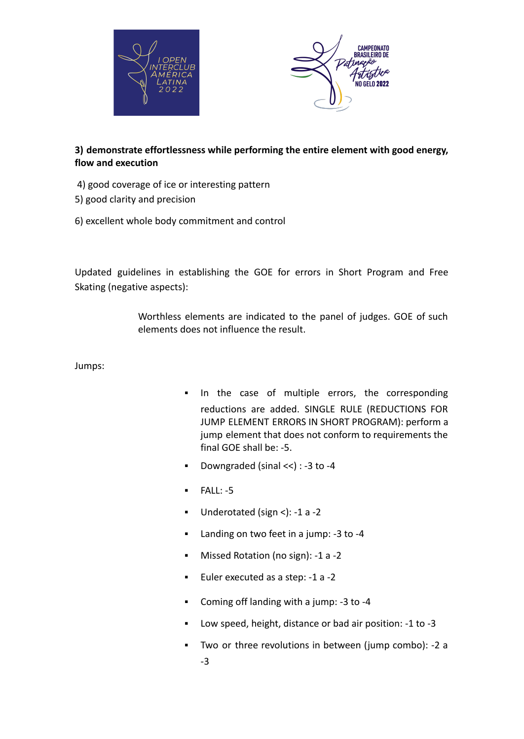



### **3) demonstrate effortlessness while performing the entire element with good energy, flow and execution**

- 4) good coverage of ice or interesting pattern
- 5) good clarity and precision
- 6) excellent whole body commitment and control

Updated guidelines in establishing the GOE for errors in Short Program and Free Skating (negative aspects):

> Worthless elements are indicated to the panel of judges. GOE of such elements does not influence the result.

Jumps:

- In the case of multiple errors, the corresponding reductions are added. SINGLE RULE (REDUCTIONS FOR JUMP ELEMENT ERRORS IN SHORT PROGRAM): perform a jump element that does not conform to requirements the final GOE shall be: -5.
- Downgraded (sinal  $<<$ ) : -3 to -4
- FALL: -5
- Underotated (sign <): -1 a -2
- Landing on two feet in a jump: -3 to -4
- Missed Rotation (no sign): -1 a -2
- Euler executed as a step: -1 a -2
- Coming off landing with a jump: -3 to -4
- Low speed, height, distance or bad air position: -1 to -3
- Two or three revolutions in between (jump combo): -2 a -3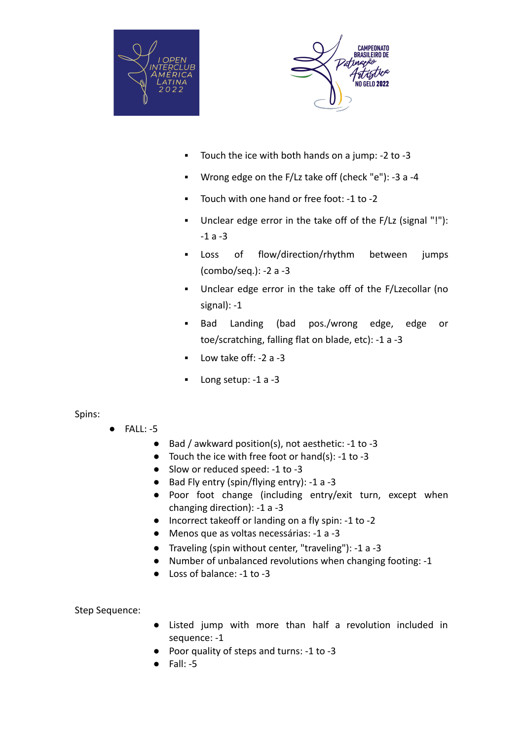



- Touch the ice with both hands on a jump: -2 to -3
- Wrong edge on the F/Lz take off (check "e"): -3 a -4
- Touch with one hand or free foot: -1 to -2
- Unclear edge error in the take off of the F/Lz (signal "!"):  $-1 a - 3$
- **Example 1** Loss of flow/direction/rhythm between jumps (combo/seq.): -2 a -3
- Unclear edge error in the take off of the F/Lzecollar (no signal): -1
- Bad Landing (bad pos./wrong edge, edge or toe/scratching, falling flat on blade, etc): -1 a -3
- Low take off:  $-2$  a  $-3$
- Long setup:  $-1$  a  $-3$

#### Spins:

- $FALL: -5$ 
	- Bad / awkward position(s), not aesthetic: -1 to -3
	- Touch the ice with free foot or hand(s): -1 to -3
	- Slow or reduced speed: -1 to -3
	- Bad Fly entry (spin/flying entry): -1 a -3
	- Poor foot change (including entry/exit turn, except when changing direction): -1 a -3
	- Incorrect takeoff or landing on a fly spin: -1 to -2
	- Menos que as voltas necessárias: -1 a -3
	- Traveling (spin without center, "traveling"): -1 a -3
	- Number of unbalanced revolutions when changing footing: -1
	- Loss of balance: -1 to -3

Step Sequence:

- Listed jump with more than half a revolution included in sequence: -1
- Poor quality of steps and turns: -1 to -3
- $\bullet$  Fall: -5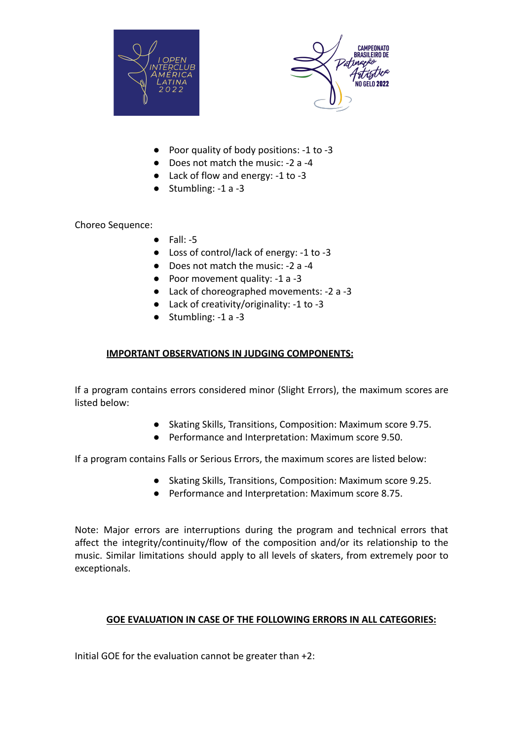



- Poor quality of body positions: -1 to -3
- Does not match the music: -2 a -4
- Lack of flow and energy: -1 to -3
- $\bullet$  Stumbling: -1 a -3

Choreo Sequence:

- $\bullet$  Fall: -5
- Loss of control/lack of energy: -1 to -3
- Does not match the music: -2 a -4
- Poor movement quality: -1 a -3
- Lack of choreographed movements: -2 a -3
- Lack of creativity/originality: -1 to -3
- Stumbling: -1 a -3

#### **IMPORTANT OBSERVATIONS IN JUDGING COMPONENTS:**

If a program contains errors considered minor (Slight Errors), the maximum scores are listed below:

- Skating Skills, Transitions, Composition: Maximum score 9.75.
- Performance and Interpretation: Maximum score 9.50.

If a program contains Falls or Serious Errors, the maximum scores are listed below:

- Skating Skills, Transitions, Composition: Maximum score 9.25.
- Performance and Interpretation: Maximum score 8.75.

Note: Major errors are interruptions during the program and technical errors that affect the integrity/continuity/flow of the composition and/or its relationship to the music. Similar limitations should apply to all levels of skaters, from extremely poor to exceptionals.

#### **GOE EVALUATION IN CASE OF THE FOLLOWING ERRORS IN ALL CATEGORIES:**

Initial GOE for the evaluation cannot be greater than +2: